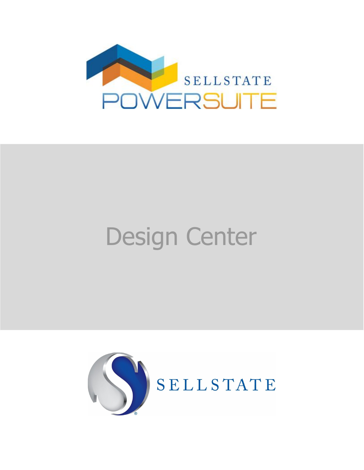

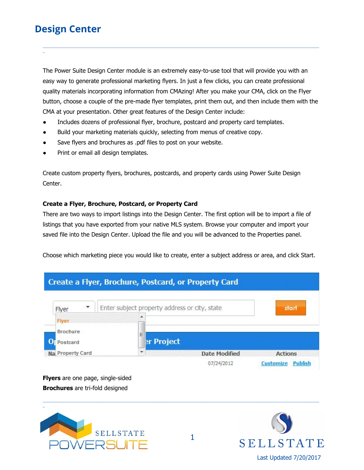\_

The Power Suite Design Center module is an extremely easy-to-use tool that will provide you with an easy way to generate professional marketing flyers. In just a few clicks, you can create professional quality materials incorporating information from CMAzing! After you make your CMA, click on the Flyer button, choose a couple of the pre-made flyer templates, print them out, and then include them with the CMA at your presentation. Other great features of the Design Center include:

\_\_\_\_\_\_\_\_\_\_\_\_\_\_\_\_\_\_\_\_\_\_\_\_\_\_\_\_\_\_\_\_\_\_\_\_\_\_\_\_\_\_\_\_\_\_\_\_\_\_\_\_\_\_\_\_\_\_\_\_\_\_\_\_\_\_\_\_\_\_\_\_\_\_\_\_\_\_\_\_\_\_\_\_\_\_\_\_\_\_\_\_\_\_\_\_\_\_\_\_\_\_\_\_\_\_\_\_\_\_\_\_\_\_\_\_\_\_\_\_\_\_\_\_\_\_\_\_\_\_\_\_\_\_\_\_\_\_\_\_\_\_

- Includes dozens of professional flyer, brochure, postcard and property card templates.
- Build your marketing materials quickly, selecting from menus of creative copy.
- Save flyers and brochures as .pdf files to post on your website.
- Print or email all design templates.

Create custom property flyers, brochures, postcards, and property cards using Power Suite Design Center.

#### **Create a Flyer, Brochure, Postcard, or Property Card**

There are two ways to import listings into the Design Center. The first option will be to import a file of listings that you have exported from your native MLS system. Browse your computer and import your saved file into the Design Center. Upload the file and you will be advanced to the Properties panel.

Choose which marketing piece you would like to create, enter a subject address or area, and click Start.



\_\_\_\_\_\_\_\_\_\_\_\_\_\_\_\_\_\_\_\_\_\_\_\_\_\_\_\_\_\_\_\_\_\_\_\_\_\_\_\_\_\_\_\_\_\_\_\_\_\_\_\_\_\_\_\_\_\_\_\_\_\_\_\_\_\_\_\_\_\_\_\_\_\_\_\_\_\_\_\_\_\_\_\_\_\_\_\_\_\_\_\_\_\_\_\_\_\_\_\_\_\_\_\_\_\_\_\_\_\_\_\_\_\_\_\_\_\_\_\_\_\_\_\_\_\_\_\_\_\_\_\_\_\_\_\_\_\_\_\_\_\_

**Flyers** are one page, single-sided **Brochures** are tri-fold designed



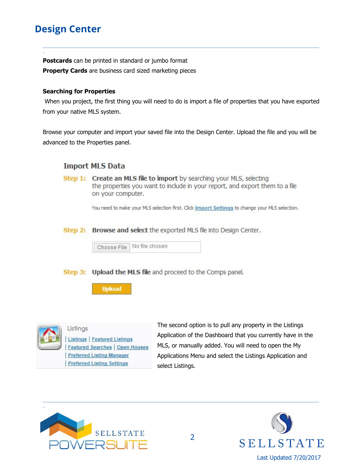\_

**Postcards** can be printed in standard or jumbo format **Property Cards** are business card sized marketing pieces

#### **Searching for Properties**

When you project, the first thing you will need to do is import a file of properties that you have exported from your native MLS system.

\_\_\_\_\_\_\_\_\_\_\_\_\_\_\_\_\_\_\_\_\_\_\_\_\_\_\_\_\_\_\_\_\_\_\_\_\_\_\_\_\_\_\_\_\_\_\_\_\_\_\_\_\_\_\_\_\_\_\_\_\_\_\_\_\_\_\_\_\_\_\_\_\_\_\_\_\_\_\_\_\_\_\_\_\_\_\_\_\_\_\_\_\_\_\_\_\_\_\_\_\_\_\_\_\_\_\_\_\_\_\_\_\_\_\_\_\_\_\_\_\_\_\_\_\_\_\_\_\_\_\_\_\_\_\_\_\_\_\_\_\_\_

Browse your computer and import your saved file into the Design Center. Upload the file and you will be advanced to the Properties panel.

### **Import MLS Data**

**Step 1:** Create an MLS file to import by searching your MLS, selecting the properties you want to include in your report, and export them to a file on your computer.

You need to make your MLS selection first. Click Import Settings to change your MLS selection.

Browse and select the exported MLS file into Design Center. Step 2:

Choose File No file chosen

Step 3: Upload the MLS file and proceed to the Comps panel.

**Upload** 



Listings **Listings** | Featured Listings **Featured Searches | Open Houses Preferred Listing Manager Preferred Listing Settings** 

The second option is to pull any property in the Listings Application of the Dashboard that you currently have in the MLS, or manually added. You will need to open the My Applications Menu and select the Listings Application and select Listings.





\_\_\_\_\_\_\_\_\_\_\_\_\_\_\_\_\_\_\_\_\_\_\_\_\_\_\_\_\_\_\_\_\_\_\_\_\_\_\_\_\_\_\_\_\_\_\_\_\_\_\_\_\_\_\_\_\_\_\_\_\_\_\_\_\_\_\_\_\_\_\_\_\_\_\_\_\_\_\_\_\_\_\_\_\_\_\_\_\_\_\_\_\_\_\_\_\_\_\_\_\_\_\_\_\_\_\_\_\_\_\_\_\_\_\_\_\_\_\_\_\_\_\_\_\_\_\_\_\_\_\_\_\_\_\_\_\_\_\_\_\_\_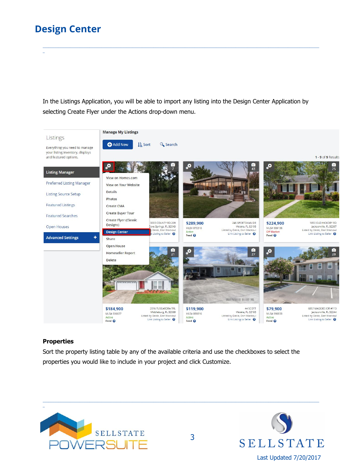\_

In the Listings Application, you will be able to import any listing into the Design Center Application by selecting Create Flyer under the Actions drop-down menu.

\_\_\_\_\_\_\_\_\_\_\_\_\_\_\_\_\_\_\_\_\_\_\_\_\_\_\_\_\_\_\_\_\_\_\_\_\_\_\_\_\_\_\_\_\_\_\_\_\_\_\_\_\_\_\_\_\_\_\_\_\_\_\_\_\_\_\_\_\_\_\_\_\_\_\_\_\_\_\_\_\_\_\_\_\_\_\_\_\_\_\_\_\_\_\_\_\_\_\_\_\_\_\_\_\_\_\_\_\_\_\_\_\_\_\_\_\_\_\_\_\_\_\_\_\_\_\_\_\_\_\_\_\_\_\_\_\_\_\_\_\_\_



#### **Properties**

Sort the property listing table by any of the available criteria and use the checkboxes to select the properties you would like to include in your project and click Customize.

\_\_\_\_\_\_\_\_\_\_\_\_\_\_\_\_\_\_\_\_\_\_\_\_\_\_\_\_\_\_\_\_\_\_\_\_\_\_\_\_\_\_\_\_\_\_\_\_\_\_\_\_\_\_\_\_\_\_\_\_\_\_\_\_\_\_\_\_\_\_\_\_\_\_\_\_\_\_\_\_\_\_\_\_\_\_\_\_\_\_\_\_\_\_\_\_\_\_\_\_\_\_\_\_\_\_\_\_\_\_\_\_\_\_\_\_\_\_\_\_\_\_\_\_\_\_\_\_\_\_\_\_\_\_\_\_\_\_\_\_\_\_



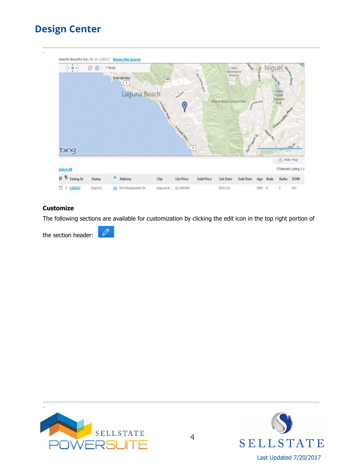#### \_\_\_\_\_\_\_\_\_\_\_\_\_\_\_\_\_\_\_\_\_\_\_\_\_\_\_\_\_\_\_\_\_\_\_\_\_\_\_\_\_\_\_\_\_\_\_\_\_\_\_\_\_\_\_\_\_\_\_\_\_\_\_\_\_\_\_\_\_\_\_\_\_\_\_\_\_\_\_\_\_\_\_\_\_\_\_\_\_\_\_\_\_\_\_\_\_\_\_\_\_\_\_\_\_\_\_\_\_\_\_\_\_\_\_\_\_\_\_\_\_\_\_\_\_\_\_\_\_\_\_\_\_\_\_\_\_\_\_\_\_\_ \_ Search Results for: ML #: L35217 Revise this Search  $\begin{array}{|c|c|c|}\hline * & N & * \\ \hline \end{array}$  $\Theta$   $\Theta$  + Road Sola ivenity<br>America Emerald Bay  $[13]$  $\sqrt{1}$ Laguna Beach S CONTRACTOR Aliso & Wood Canyons Park S Const Hay  $\alpha$  $\overline{1}$ bing A Hide Map Select All 0 Selected; Listing 1-1  $\nabla$  P Listing Id Address Sold Date Age Beds Status City **List Price** Sold Price List Date Baths DOM  $1135217$ 15 932 Meadowlark Dr Expired Laguna B... 51,249,000 02/11/11 1992 4 3 187

#### **Customize**

The following sections are available for customization by clicking the edit icon in the top right portion of

 $\mathscr{O}$ the section header:



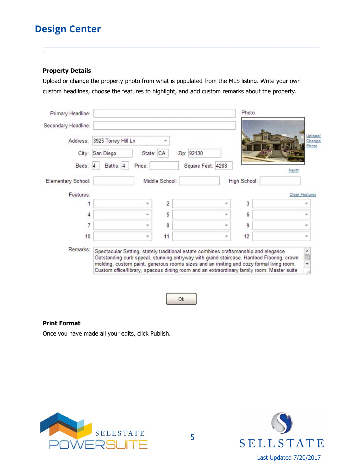#### **Property Details**

\_

Upload or change the property photo from what is populated from the MLS listing. Write your own custom headlines, choose the features to highlight, and add custom remarks about the property.

\_\_\_\_\_\_\_\_\_\_\_\_\_\_\_\_\_\_\_\_\_\_\_\_\_\_\_\_\_\_\_\_\_\_\_\_\_\_\_\_\_\_\_\_\_\_\_\_\_\_\_\_\_\_\_\_\_\_\_\_\_\_\_\_\_\_\_\_\_\_\_\_\_\_\_\_\_\_\_\_\_\_\_\_\_\_\_\_\_\_\_\_\_\_\_\_\_\_\_\_\_\_\_\_\_\_\_\_\_\_\_\_\_\_\_\_\_\_\_\_\_\_\_\_\_\_\_\_\_\_\_\_\_\_\_\_\_\_\_\_\_\_

| Primary Headline:   |                              |                |                                                                                                                                                                                                                                                                              | Photo        |                            |
|---------------------|------------------------------|----------------|------------------------------------------------------------------------------------------------------------------------------------------------------------------------------------------------------------------------------------------------------------------------------|--------------|----------------------------|
| Secondary Headline: |                              |                |                                                                                                                                                                                                                                                                              |              |                            |
| Address:            | 3925 Torrey Hill Ln          |                |                                                                                                                                                                                                                                                                              |              | Upload/<br>Change<br>Photo |
|                     | State: CA<br>City: San Diego |                | Zip: 92130                                                                                                                                                                                                                                                                   |              |                            |
| Beds:               | Price:<br>Baths: 4           |                | Square Feet: 4208                                                                                                                                                                                                                                                            |              | Next>                      |
| Elementary School:  |                              | Middle School: |                                                                                                                                                                                                                                                                              | High School: |                            |
| Features:           |                              |                |                                                                                                                                                                                                                                                                              |              | <b>Clear Features</b>      |
| 1                   | ۳                            | $\overline{2}$ |                                                                                                                                                                                                                                                                              | 3            |                            |
| 4                   |                              | 5              |                                                                                                                                                                                                                                                                              | 6            |                            |
| $\overline{7}$      | ÷                            | 8              |                                                                                                                                                                                                                                                                              | 9            |                            |
| 10                  | ۳                            | 11             |                                                                                                                                                                                                                                                                              | 12           | ÷                          |
| Remarks:            |                              |                | Spectacular Setting, stately traditional estate combines craftsmanship and elegance.<br>Outstanding curb sppeal, stunning entryway with grand staircase. Hardood Flooring, crown<br>molding, custom paint, generous rooms sizes and an inviting and cozy formal living room. |              | $\Xi$                      |
|                     |                              |                | Custom office/library, spacous dining room and an extraordinary family room. Master suite                                                                                                                                                                                    |              |                            |



#### **Print Format**

Once you have made all your edits, click Publish.





\_\_\_\_\_\_\_\_\_\_\_\_\_\_\_\_\_\_\_\_\_\_\_\_\_\_\_\_\_\_\_\_\_\_\_\_\_\_\_\_\_\_\_\_\_\_\_\_\_\_\_\_\_\_\_\_\_\_\_\_\_\_\_\_\_\_\_\_\_\_\_\_\_\_\_\_\_\_\_\_\_\_\_\_\_\_\_\_\_\_\_\_\_\_\_\_\_\_\_\_\_\_\_\_\_\_\_\_\_\_\_\_\_\_\_\_\_\_\_\_\_\_\_\_\_\_\_\_\_\_\_\_\_\_\_\_\_\_\_\_\_\_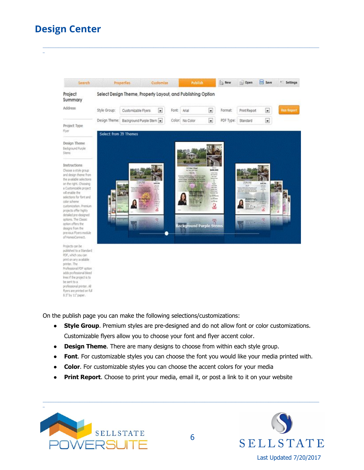\_



\_\_\_\_\_\_\_\_\_\_\_\_\_\_\_\_\_\_\_\_\_\_\_\_\_\_\_\_\_\_\_\_\_\_\_\_\_\_\_\_\_\_\_\_\_\_\_\_\_\_\_\_\_\_\_\_\_\_\_\_\_\_\_\_\_\_\_\_\_\_\_\_\_\_\_\_\_\_\_\_\_\_\_\_\_\_\_\_\_\_\_\_\_\_\_\_\_\_\_\_\_\_\_\_\_\_\_\_\_\_\_\_\_\_\_\_\_\_\_\_\_\_\_\_\_\_\_\_\_\_\_\_\_\_\_\_\_\_\_\_\_\_

On the publish page you can make the following selections/customizations:

- **Style Group**. Premium styles are pre-designed and do not allow font or color customizations. Customizable flyers allow you to choose your font and flyer accent color.
- **Design Theme**. There are many designs to choose from within each style group.
- **Font**. For customizable styles you can choose the font you would like your media printed with.

\_\_\_\_\_\_\_\_\_\_\_\_\_\_\_\_\_\_\_\_\_\_\_\_\_\_\_\_\_\_\_\_\_\_\_\_\_\_\_\_\_\_\_\_\_\_\_\_\_\_\_\_\_\_\_\_\_\_\_\_\_\_\_\_\_\_\_\_\_\_\_\_\_\_\_\_\_\_\_\_\_\_\_\_\_\_\_\_\_\_\_\_\_\_\_\_\_\_\_\_\_\_\_\_\_\_\_\_\_\_\_\_\_\_\_\_\_\_\_\_\_\_\_\_\_\_\_\_\_\_\_\_\_\_\_\_\_\_\_\_\_\_

- **Color**. For customizable styles you can choose the accent colors for your media
- **Print Report**. Choose to print your media, email it, or post a link to it on your website



fivers are printed on full 8.5" by 11" paper.